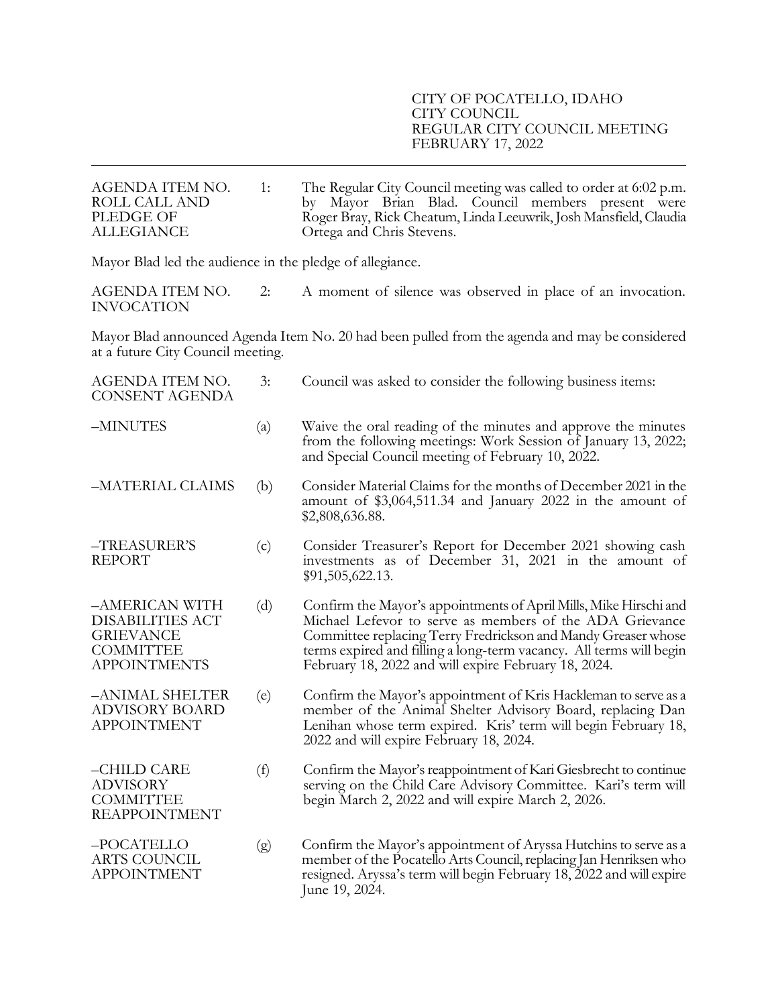## CITY OF POCATELLO, IDAHO CITY COUNCIL REGULAR CITY COUNCIL MEETING FEBRUARY 17, 2022

| AGENDA ITEM NO.<br>ROLL CALL AND<br>PLEDGE OF<br><b>ALLEGIANCE</b>                                                                 | 1:                        | The Regular City Council meeting was called to order at 6:02 p.m.<br>by Mayor Brian Blad. Council members present were<br>Roger Bray, Rick Cheatum, Linda Leeuwrik, Josh Mansfield, Claudia<br>Ortega and Chris Stevens.                                                                                                      |  |  |
|------------------------------------------------------------------------------------------------------------------------------------|---------------------------|-------------------------------------------------------------------------------------------------------------------------------------------------------------------------------------------------------------------------------------------------------------------------------------------------------------------------------|--|--|
| Mayor Blad led the audience in the pledge of allegiance.                                                                           |                           |                                                                                                                                                                                                                                                                                                                               |  |  |
| AGENDA ITEM NO.<br><b>INVOCATION</b>                                                                                               | 2:                        | A moment of silence was observed in place of an invocation.                                                                                                                                                                                                                                                                   |  |  |
| Mayor Blad announced Agenda Item No. 20 had been pulled from the agenda and may be considered<br>at a future City Council meeting. |                           |                                                                                                                                                                                                                                                                                                                               |  |  |
| AGENDA ITEM NO.<br><b>CONSENT AGENDA</b>                                                                                           | 3:                        | Council was asked to consider the following business items:                                                                                                                                                                                                                                                                   |  |  |
| -MINUTES                                                                                                                           | $\left( \text{a} \right)$ | Waive the oral reading of the minutes and approve the minutes<br>from the following meetings: Work Session of January 13, 2022;<br>and Special Council meeting of February 10, 2022.                                                                                                                                          |  |  |
| -MATERIAL CLAIMS                                                                                                                   | (b)                       | Consider Material Claims for the months of December 2021 in the<br>amount of \$3,064,511.34 and January 2022 in the amount of<br>\$2,808,636.88.                                                                                                                                                                              |  |  |
| -TREASURER'S<br><b>REPORT</b>                                                                                                      | (c)                       | Consider Treasurer's Report for December 2021 showing cash<br>investments as of December 31, 2021 in the amount of<br>\$91,505,622.13.                                                                                                                                                                                        |  |  |
| -AMERICAN WITH<br><b>DISABILITIES ACT</b><br><b>GRIEVANCE</b><br><b>COMMITTEE</b><br><b>APPOINTMENTS</b>                           | (d)                       | Confirm the Mayor's appointments of April Mills, Mike Hirschi and<br>Michael Lefevor to serve as members of the ADA Grievance<br>Committee replacing Terry Fredrickson and Mandy Greaser whose<br>terms expired and filling a long-term vacancy. All terms will begin<br>February 18, 2022 and will expire February 18, 2024. |  |  |
| -ANIMAL SHELTER<br><b>ADVISORY BOARD</b><br><b>APPOINTMENT</b>                                                                     | (e)                       | Confirm the Mayor's appointment of Kris Hackleman to serve as a<br>member of the Animal Shelter Advisory Board, replacing Dan<br>Lenihan whose term expired. Kris' term will begin February 18,<br>2022 and will expire February 18, 2024.                                                                                    |  |  |
| -CHILD CARE<br><b>ADVISORY</b><br><b>COMMITTEE</b><br><b>REAPPOINTMENT</b>                                                         | (f)                       | Confirm the Mayor's reappointment of Kari Giesbrecht to continue<br>serving on the Child Care Advisory Committee. Kari's term will<br>begin March 2, 2022 and will expire March 2, 2026.                                                                                                                                      |  |  |
| -POCATELLO<br><b>ARTS COUNCIL</b><br><b>APPOINTMENT</b>                                                                            | (g)                       | Confirm the Mayor's appointment of Aryssa Hutchins to serve as a<br>member of the Pocatello Arts Council, replacing Jan Henriksen who<br>resigned. Aryssa's term will begin February 18, 2022 and will expire<br>June 19, 2024.                                                                                               |  |  |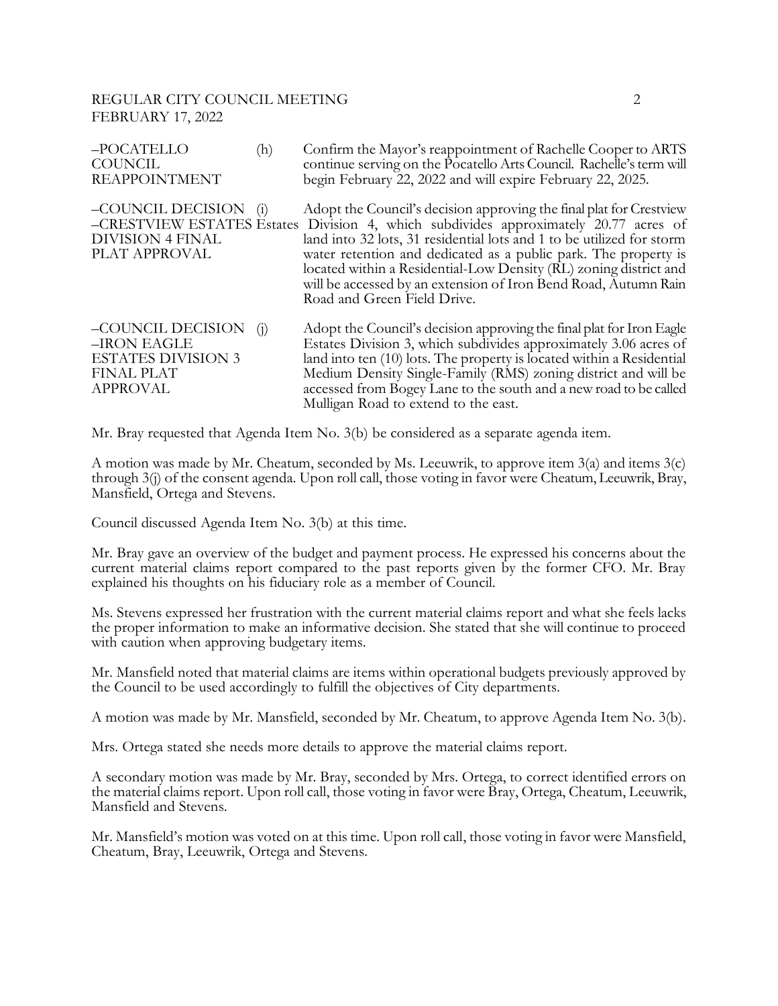## REGULAR CITY COUNCIL MEETING 2 FEBRUARY 17, 2022

| -POCATELLO<br><b>COUNCIL</b><br><b>REAPPOINTMENT</b>                                                  | (h)               | Confirm the Mayor's reappointment of Rachelle Cooper to ARTS<br>continue serving on the Pocatello Arts Council. Rachelle's term will<br>begin February 22, 2022 and will expire February 22, 2025.                                                                                                                                                                                                                                                                             |
|-------------------------------------------------------------------------------------------------------|-------------------|--------------------------------------------------------------------------------------------------------------------------------------------------------------------------------------------------------------------------------------------------------------------------------------------------------------------------------------------------------------------------------------------------------------------------------------------------------------------------------|
| –COUNCIL DECISION<br><b>DIVISION 4 FINAL</b><br>PLAT APPROVAL                                         | $\left( i\right)$ | Adopt the Council's decision approving the final plat for Crestview<br>-CRESTVIEW ESTATES Estates Division 4, which subdivides approximately 20.77 acres of<br>land into 32 lots, 31 residential lots and 1 to be utilized for storm<br>water retention and dedicated as a public park. The property is<br>located within a Residential-Low Density (RL) zoning district and<br>will be accessed by an extension of Iron Bend Road, Autumn Rain<br>Road and Green Field Drive. |
| –COUNCIL DECISION<br>-IRON EAGLE<br><b>ESTATES DIVISION 3</b><br><b>FINAL PLAT</b><br><b>APPROVAL</b> | (1)               | Adopt the Council's decision approving the final plat for Iron Eagle<br>Estates Division 3, which subdivides approximately 3.06 acres of<br>land into ten (10) lots. The property is located within a Residential<br>Medium Density Single-Family (RMS) zoning district and will be<br>accessed from Bogey Lane to the south and a new road to be called<br>Mulligan Road to extend to the east.                                                                               |

Mr. Bray requested that Agenda Item No. 3(b) be considered as a separate agenda item.

A motion was made by Mr. Cheatum, seconded by Ms. Leeuwrik, to approve item 3(a) and items 3(c) through 3(j) of the consent agenda. Upon roll call, those voting in favor were Cheatum, Leeuwrik, Bray, Mansfield, Ortega and Stevens.

Council discussed Agenda Item No. 3(b) at this time.

Mr. Bray gave an overview of the budget and payment process. He expressed his concerns about the current material claims report compared to the past reports given by the former CFO. Mr. Bray explained his thoughts on his fiduciary role as a member of Council.

Ms. Stevens expressed her frustration with the current material claims report and what she feels lacks the proper information to make an informative decision. She stated that she will continue to proceed with caution when approving budgetary items.

Mr. Mansfield noted that material claims are items within operational budgets previously approved by the Council to be used accordingly to fulfill the objectives of City departments.

A motion was made by Mr. Mansfield, seconded by Mr. Cheatum, to approve Agenda Item No. 3(b).

Mrs. Ortega stated she needs more details to approve the material claims report.

A secondary motion was made by Mr. Bray, seconded by Mrs. Ortega, to correct identified errors on the material claims report. Upon roll call, those voting in favor were Bray, Ortega, Cheatum, Leeuwrik, Mansfield and Stevens.

Mr. Mansfield's motion was voted on at this time. Upon roll call, those voting in favor were Mansfield, Cheatum, Bray, Leeuwrik, Ortega and Stevens.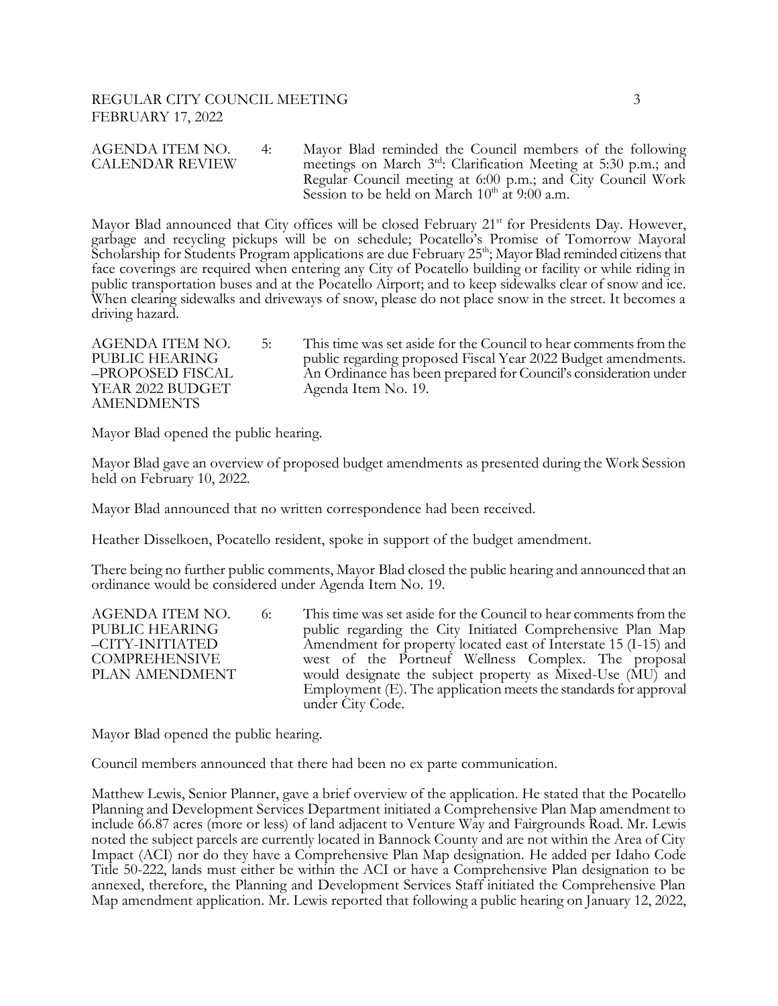Mayor Blad announced that City offices will be closed February 21<sup>st</sup> for Presidents Day. However, garbage and recycling pickups will be on schedule; Pocatello's Promise of Tomorrow Mayoral Scholarship for Students Program applications are due February 25<sup>th</sup>; Mayor Blad reminded citizens that face coverings are required when entering any City of Pocatello building or facility or while riding in public transportation buses and at the Pocatello Airport; and to keep sidewalks clear of snow and ice. When clearing sidewalks and driveways of snow, please do not place snow in the street. It becomes a driving hazard.

AGENDA ITEM NO. 5: This time was set aside for the Council to hear comments from the PUBLIC HEARING public regarding proposed Fiscal Year 2022 Budget amendments.<br>-PROPOSED FISCAL An Ordinance has been prepared for Council's consideration under An Ordinance has been prepared for Council's consideration under YEAR 2022 BUDGET Agenda Item No. 19. AMENDMENTS

Mayor Blad opened the public hearing.

Mayor Blad gave an overview of proposed budget amendments as presented during the Work Session held on February 10, 2022.

Mayor Blad announced that no written correspondence had been received.

Heather Disselkoen, Pocatello resident, spoke in support of the budget amendment.

There being no further public comments, Mayor Blad closed the public hearing and announced that an ordinance would be considered under Agenda Item No. 19.

AGENDA ITEM NO. 6: This time was set aside for the Council to hear comments from the PUBLIC HEARING public regarding the City Initiated Comprehensive Plan Map PUBLIC HEARING<br>
-CITY-INITIATED Amendment for property located east of Interstate 15 (I-15) and Amendment for property located east of Interstate 15 (I-15) and COMPREHENSIVE west of the Portneuf Wellness Complex. The proposal PLAN AMENDMENT would designate the subject property as Mixed-Use (MU) and Employment (E). The application meets the standards for approval under City Code.

Mayor Blad opened the public hearing.

Council members announced that there had been no ex parte communication.

Matthew Lewis, Senior Planner, gave a brief overview of the application. He stated that the Pocatello Planning and Development Services Department initiated a Comprehensive Plan Map amendment to include 66.87 acres (more or less) of land adjacent to Venture Way and Fairgrounds Road. Mr. Lewis noted the subject parcels are currently located in Bannock County and are not within the Area of City Impact (ACI) nor do they have a Comprehensive Plan Map designation. He added per Idaho Code Title 50-222, lands must either be within the ACI or have a Comprehensive Plan designation to be annexed, therefore, the Planning and Development Services Staff initiated the Comprehensive Plan Map amendment application. Mr. Lewis reported that following a public hearing on January 12, 2022,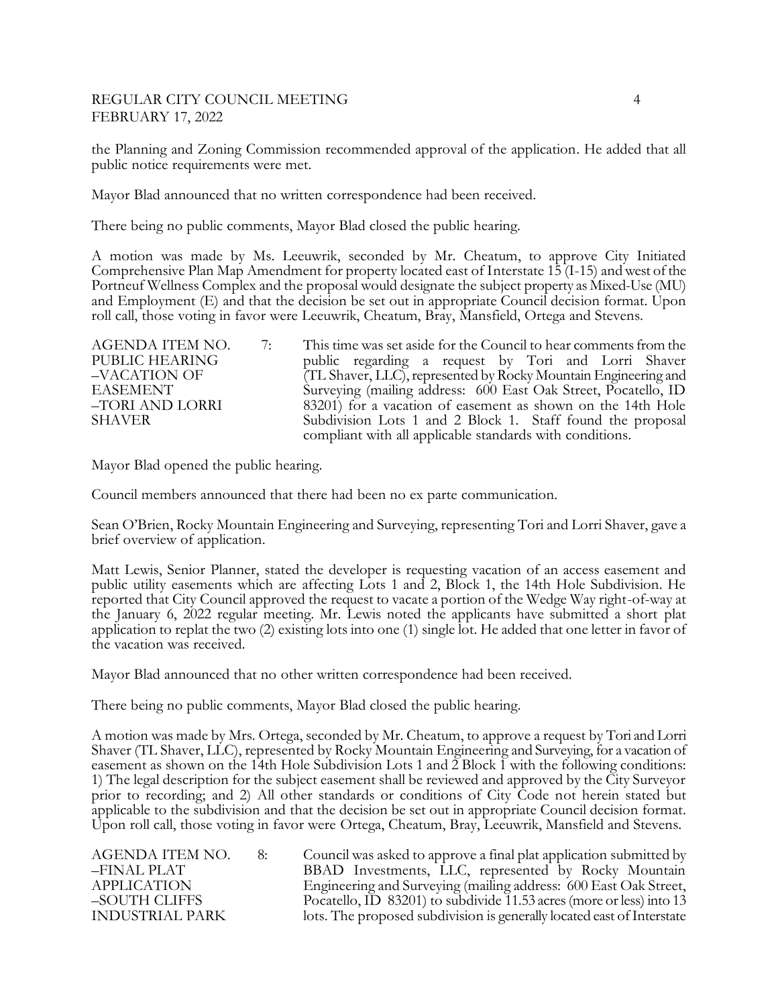## REGULAR CITY COUNCIL MEETING 4 FEBRUARY 17, 2022

the Planning and Zoning Commission recommended approval of the application. He added that all public notice requirements were met.

Mayor Blad announced that no written correspondence had been received.

There being no public comments, Mayor Blad closed the public hearing.

A motion was made by Ms. Leeuwrik, seconded by Mr. Cheatum, to approve City Initiated Comprehensive Plan Map Amendment for property located east of Interstate 15 (I-15) and west of the Portneuf Wellness Complex and the proposal would designate the subject property as Mixed-Use (MU) and Employment (E) and that the decision be set out in appropriate Council decision format. Upon roll call, those voting in favor were Leeuwrik, Cheatum, Bray, Mansfield, Ortega and Stevens.

| AGENDA ITEM NO. | 7: | This time was set aside for the Council to hear comments from the |
|-----------------|----|-------------------------------------------------------------------|
| PUBLIC HEARING  |    | public regarding a request by Tori and Lorri Shaver               |
| -VACATION OF    |    | (TL Shaver, LLC), represented by Rocky Mountain Engineering and   |
| EASEMENT        |    | Surveying (mailing address: 600 East Oak Street, Pocatello, ID    |
| -TORI AND LORRI |    | 83201) for a vacation of easement as shown on the 14th Hole       |
| <b>SHAVER</b>   |    | Subdivision Lots 1 and 2 Block 1. Staff found the proposal        |
|                 |    | compliant with all applicable standards with conditions.          |

Mayor Blad opened the public hearing.

Council members announced that there had been no ex parte communication.

Sean O'Brien, Rocky Mountain Engineering and Surveying, representing Tori and Lorri Shaver, gave a brief overview of application.

Matt Lewis, Senior Planner, stated the developer is requesting vacation of an access easement and public utility easements which are affecting Lots 1 and 2, Block 1, the 14th Hole Subdivision. He reported that City Council approved the request to vacate a portion of the Wedge Way right-of-way at the January 6, 2022 regular meeting. Mr. Lewis noted the applicants have submitted a short plat application to replat the two (2) existing lots into one (1) single lot. He added that one letter in favor of the vacation was received.

Mayor Blad announced that no other written correspondence had been received.

There being no public comments, Mayor Blad closed the public hearing.

A motion was made by Mrs. Ortega, seconded by Mr. Cheatum, to approve a request by Tori and Lorri Shaver (TL Shaver, LLC), represented by Rocky Mountain Engineering and Surveying, for a vacation of easement as shown on the 14th Hole Subdivision Lots 1 and 2 Block 1 with the following conditions: 1) The legal description for the subject easement shall be reviewed and approved by the City Surveyor prior to recording; and 2) All other standards or conditions of City Code not herein stated but applicable to the subdivision and that the decision be set out in appropriate Council decision format. Upon roll call, those voting in favor were Ortega, Cheatum, Bray, Leeuwrik, Mansfield and Stevens.

AGENDA ITEM NO. 8: Council was asked to approve a final plat application submitted by<br>FINAL PLAT BBAD Investments. LLC. represented by Rocky Mountain BBAD Investments, LLC, represented by Rocky Mountain APPLICATION Engineering and Surveying (mailing address: 600 East Oak Street,<br>-SOUTH CLIFFS Pocatello, ID 83201) to subdivide 11.53 acres (more or less) into 13 –SOUTH CLIFFS Pocatello, ID 83201) to subdivide 11.53 acres (more or less) into 13<br>INDUSTRIAL PARK lots. The proposed subdivision is generally located east of Interstate lots. The proposed subdivision is generally located east of Interstate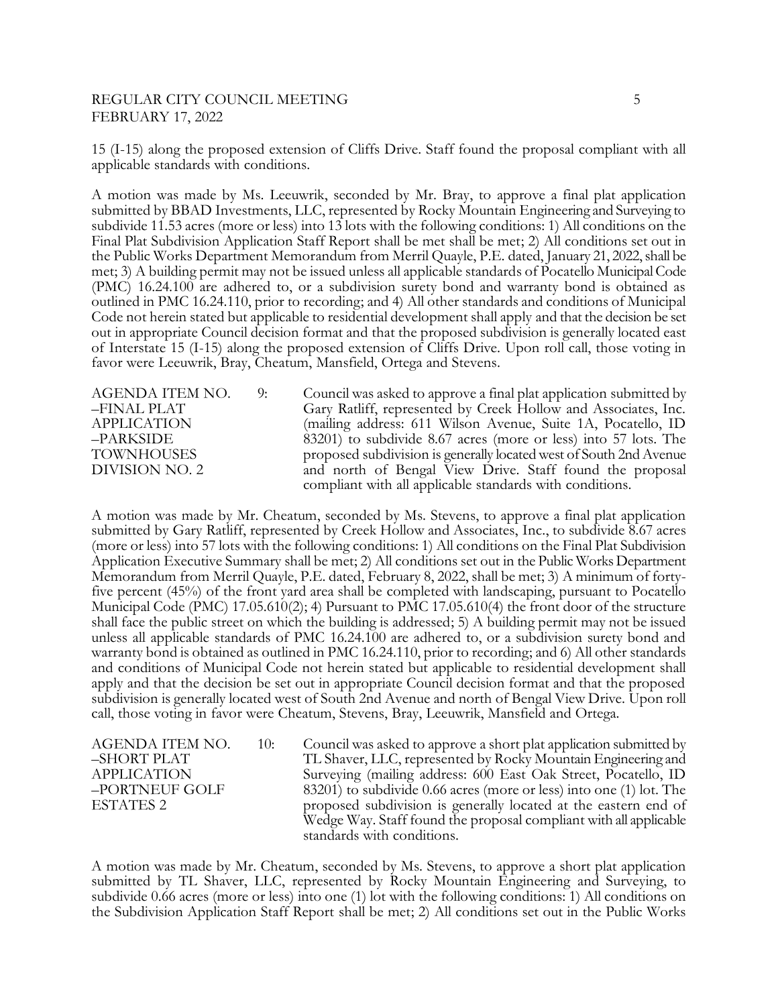## REGULAR CITY COUNCIL MEETING 5 FEBRUARY 17, 2022

15 (I-15) along the proposed extension of Cliffs Drive. Staff found the proposal compliant with all applicable standards with conditions.

A motion was made by Ms. Leeuwrik, seconded by Mr. Bray, to approve a final plat application submitted by BBAD Investments, LLC, represented by Rocky Mountain Engineering and Surveying to subdivide 11.53 acres (more or less) into 13 lots with the following conditions: 1) All conditions on the Final Plat Subdivision Application Staff Report shall be met shall be met; 2) All conditions set out in the Public Works Department Memorandum from Merril Quayle, P.E. dated, January 21, 2022, shall be met; 3) A building permit may not be issued unless all applicable standards of Pocatello Municipal Code (PMC) 16.24.100 are adhered to, or a subdivision surety bond and warranty bond is obtained as outlined in PMC 16.24.110, prior to recording; and 4) All other standards and conditions of Municipal Code not herein stated but applicable to residential development shall apply and that the decision be set out in appropriate Council decision format and that the proposed subdivision is generally located east of Interstate 15 (I-15) along the proposed extension of Cliffs Drive. Upon roll call, those voting in favor were Leeuwrik, Bray, Cheatum, Mansfield, Ortega and Stevens.

AGENDA ITEM NO. 9: Council was asked to approve a final plat application submitted by –FINAL PLAT Gary Ratliff, represented by Creek Hollow and Associates, Inc. APPLICATION (mailing address: 611 Wilson Avenue, Suite 1A, Pocatello, ID –PARKSIDE 83201) to subdivide 8.67 acres (more or less) into 57 lots. The TOWNHOUSES proposed subdivision is generally located west of South 2nd Avenue DIVISION NO. 2 and north of Bengal View Drive. Staff found the proposal compliant with all applicable standards with conditions.

A motion was made by Mr. Cheatum, seconded by Ms. Stevens, to approve a final plat application submitted by Gary Ratliff, represented by Creek Hollow and Associates, Inc., to subdivide 8.67 acres (more or less) into 57 lots with the following conditions: 1) All conditions on the Final Plat Subdivision Application Executive Summary shall be met; 2) All conditions set out in the Public Works Department Memorandum from Merril Quayle, P.E. dated, February 8, 2022, shall be met; 3) A minimum of fortyfive percent (45%) of the front yard area shall be completed with landscaping, pursuant to Pocatello Municipal Code (PMC) 17.05.610(2); 4) Pursuant to PMC 17.05.610(4) the front door of the structure shall face the public street on which the building is addressed; 5) A building permit may not be issued unless all applicable standards of PMC 16.24.100 are adhered to, or a subdivision surety bond and warranty bond is obtained as outlined in PMC 16.24.110, prior to recording; and 6) All other standards and conditions of Municipal Code not herein stated but applicable to residential development shall apply and that the decision be set out in appropriate Council decision format and that the proposed subdivision is generally located west of South 2nd Avenue and north of Bengal View Drive. Upon roll call, those voting in favor were Cheatum, Stevens, Bray, Leeuwrik, Mansfield and Ortega.

AGENDA ITEM NO. 10: Council was asked to approve a short plat application submitted by –SHORT PLAT TL Shaver, LLC, represented by Rocky Mountain Engineering and APPLICATION Surveying (mailing address: 600 East Oak Street, Pocatello, ID<br>
-PORTNEUF GOLF 83201) to subdivide 0.66 acres (more or less) into one (1) lot. The  $83201$ ) to subdivide 0.66 acres (more or less) into one (1) lot. The ESTATES 2 **proposed subdivision is generally located at the eastern end of**  Wedge Way. Staff found the proposal compliant with all applicable standards with conditions.

A motion was made by Mr. Cheatum, seconded by Ms. Stevens, to approve a short plat application submitted by TL Shaver, LLC, represented by Rocky Mountain Engineering and Surveying, to subdivide 0.66 acres (more or less) into one (1) lot with the following conditions: 1) All conditions on the Subdivision Application Staff Report shall be met; 2) All conditions set out in the Public Works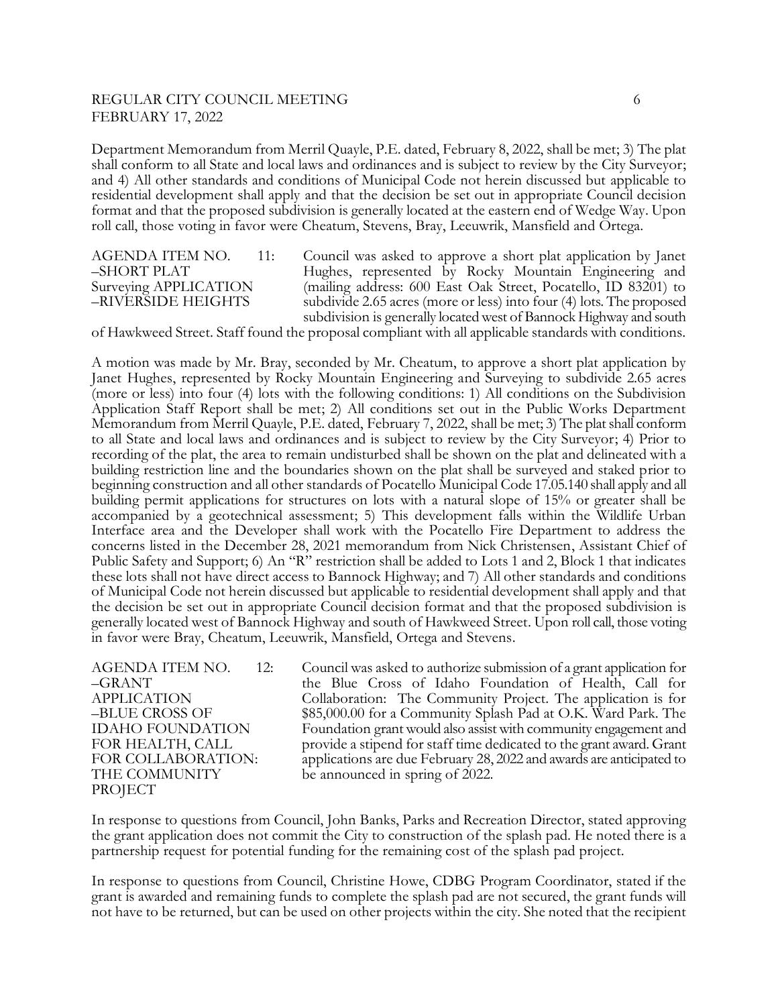## REGULAR CITY COUNCIL MEETING 6 FEBRUARY 17, 2022

Department Memorandum from Merril Quayle, P.E. dated, February 8, 2022, shall be met; 3) The plat shall conform to all State and local laws and ordinances and is subject to review by the City Surveyor; and 4) All other standards and conditions of Municipal Code not herein discussed but applicable to residential development shall apply and that the decision be set out in appropriate Council decision format and that the proposed subdivision is generally located at the eastern end of Wedge Way. Upon roll call, those voting in favor were Cheatum, Stevens, Bray, Leeuwrik, Mansfield and Ortega.

AGENDA ITEM NO. 11: Council was asked to approve a short plat application by Janet –SHORT PLAT Hughes, represented by Rocky Mountain Engineering and Surveying APPLICATION (mailing address: 600 East Oak Street, Pocatello, ID 83201) to –RIVERSIDE HEIGHTS subdivide 2.65 acres (more or less) into four (4) lots. The proposed subdivision is generally located west of Bannock Highway and south

of Hawkweed Street. Staff found the proposal compliant with all applicable standards with conditions.

A motion was made by Mr. Bray, seconded by Mr. Cheatum, to approve a short plat application by Janet Hughes, represented by Rocky Mountain Engineering and Surveying to subdivide 2.65 acres (more or less) into four (4) lots with the following conditions: 1) All conditions on the Subdivision Application Staff Report shall be met; 2) All conditions set out in the Public Works Department Memorandum from Merril Quayle, P.E. dated, February 7, 2022, shall be met; 3) The plat shall conform to all State and local laws and ordinances and is subject to review by the City Surveyor; 4) Prior to recording of the plat, the area to remain undisturbed shall be shown on the plat and delineated with a building restriction line and the boundaries shown on the plat shall be surveyed and staked prior to beginning construction and all other standards of Pocatello Municipal Code 17.05.140 shall apply and all building permit applications for structures on lots with a natural slope of 15% or greater shall be accompanied by a geotechnical assessment; 5) This development falls within the Wildlife Urban Interface area and the Developer shall work with the Pocatello Fire Department to address the concerns listed in the December 28, 2021 memorandum from Nick Christensen, Assistant Chief of Public Safety and Support; 6) An "R" restriction shall be added to Lots 1 and 2, Block 1 that indicates these lots shall not have direct access to Bannock Highway; and 7) All other standards and conditions of Municipal Code not herein discussed but applicable to residential development shall apply and that the decision be set out in appropriate Council decision format and that the proposed subdivision is generally located west of Bannock Highway and south of Hawkweed Street. Upon roll call, those voting in favor were Bray, Cheatum, Leeuwrik, Mansfield, Ortega and Stevens.

PROJECT

AGENDA ITEM NO. 12: Council was asked to authorize submission of a grant application for –GRANT the Blue Cross of Idaho Foundation of Health, Call for APPLICATION Collaboration: The Community Project. The application is for –BLUE CROSS OF \$85,000.00 for a Community Splash Pad at O.K. Ward Park. The IDAHO FOUNDATION Foundation grant would also assist with community engagement and FOR HEALTH, CALL provide a stipend for staff time dedicated to the grant award. Grant FOR COLLABORATION: applications are due February 28, 2022 and awards are anticipated to THE COMMUNITY be announced in spring of 2022.

In response to questions from Council, John Banks, Parks and Recreation Director, stated approving the grant application does not commit the City to construction of the splash pad. He noted there is a partnership request for potential funding for the remaining cost of the splash pad project.

In response to questions from Council, Christine Howe, CDBG Program Coordinator, stated if the grant is awarded and remaining funds to complete the splash pad are not secured, the grant funds will not have to be returned, but can be used on other projects within the city. She noted that the recipient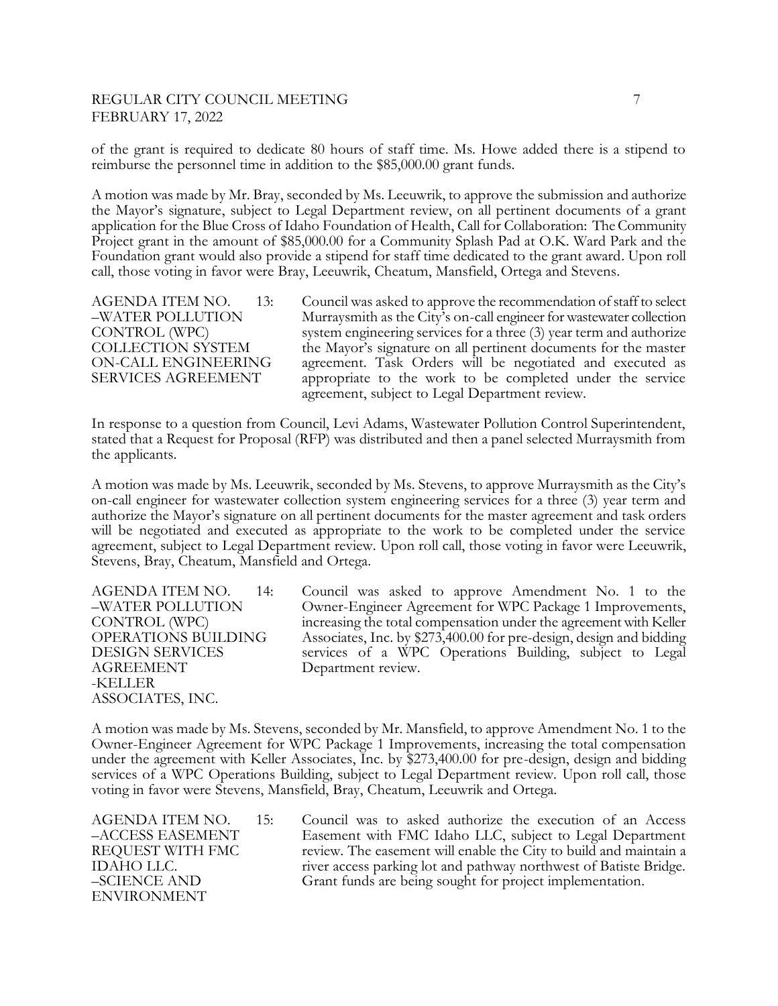# REGULAR CITY COUNCIL MEETING **7** FEBRUARY 17, 2022

of the grant is required to dedicate 80 hours of staff time. Ms. Howe added there is a stipend to reimburse the personnel time in addition to the \$85,000.00 grant funds.

A motion was made by Mr. Bray, seconded by Ms. Leeuwrik, to approve the submission and authorize the Mayor's signature, subject to Legal Department review, on all pertinent documents of a grant application for the Blue Cross of Idaho Foundation of Health, Call for Collaboration: The Community Project grant in the amount of \$85,000.00 for a Community Splash Pad at O.K. Ward Park and the Foundation grant would also provide a stipend for staff time dedicated to the grant award. Upon roll call, those voting in favor were Bray, Leeuwrik, Cheatum, Mansfield, Ortega and Stevens.

AGENDA ITEM NO. 13: Council was asked to approve the recommendation of staff to select –WATER POLLUTION Murraysmith as the City's on-call engineer for wastewater collection CONTROL (WPC) system engineering services for a three (3) year term and authorize COLLECTION SYSTEM the Mayor's signature on all pertinent documents for the master ON-CALL ENGINEERING agreement. Task Orders will be negotiated and executed as SERVICES AGREEMENT appropriate to the work to be completed under the service agreement, subject to Legal Department review.

In response to a question from Council, Levi Adams, Wastewater Pollution Control Superintendent, stated that a Request for Proposal (RFP) was distributed and then a panel selected Murraysmith from the applicants.

A motion was made by Ms. Leeuwrik, seconded by Ms. Stevens, to approve Murraysmith as the City's on-call engineer for wastewater collection system engineering services for a three (3) year term and authorize the Mayor's signature on all pertinent documents for the master agreement and task orders will be negotiated and executed as appropriate to the work to be completed under the service agreement, subject to Legal Department review. Upon roll call, those voting in favor were Leeuwrik, Stevens, Bray, Cheatum, Mansfield and Ortega.

AGREEMENT Department review. -KELLER ASSOCIATES, INC.

AGENDA ITEM NO. 14: Council was asked to approve Amendment No. 1 to the –WATER POLLUTION Owner-Engineer Agreement for WPC Package 1 Improvements, CONTROL (WPC) increasing the total compensation under the agreement with Keller OPERATIONS BUILDING Associates, Inc. by \$273,400.00 for pre-design, design and bidding DESIGN SERVICES services of a WPC Operations Building, subject to Legal

A motion was made by Ms. Stevens, seconded by Mr. Mansfield, to approve Amendment No. 1 to the Owner-Engineer Agreement for WPC Package 1 Improvements, increasing the total compensation under the agreement with Keller Associates, Inc. by \$273,400.00 for pre-design, design and bidding services of a WPC Operations Building, subject to Legal Department review. Upon roll call, those voting in favor were Stevens, Mansfield, Bray, Cheatum, Leeuwrik and Ortega.

ENVIRONMENT

AGENDA ITEM NO. 15: Council was to asked authorize the execution of an Access –ACCESS EASEMENT Easement with FMC Idaho LLC, subject to Legal Department REQUEST WITH FMC review. The easement will enable the City to build and maintain a IDAHO LLC. The river access parking lot and pathway northwest of Batiste Bridge. –SCIENCE AND Grant funds are being sought for project implementation.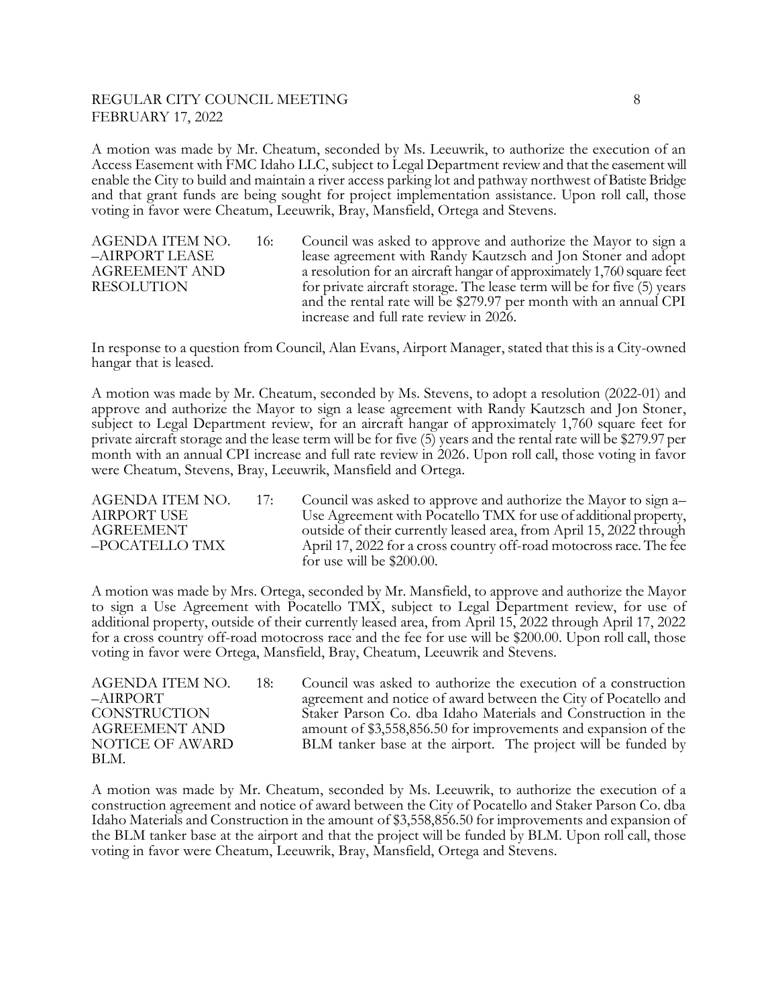### REGULAR CITY COUNCIL MEETING **8** 8 FEBRUARY 17, 2022

A motion was made by Mr. Cheatum, seconded by Ms. Leeuwrik, to authorize the execution of an Access Easement with FMC Idaho LLC, subject to Legal Department review and that the easement will enable the City to build and maintain a river access parking lot and pathway northwest of Batiste Bridge and that grant funds are being sought for project implementation assistance. Upon roll call, those voting in favor were Cheatum, Leeuwrik, Bray, Mansfield, Ortega and Stevens.

AGENDA ITEM NO. 16: Council was asked to approve and authorize the Mayor to sign a –AIRPORT LEASE lease agreement with Randy Kautzsch and Jon Stoner and adopt AGREEMENT AND a resolution for an aircraft hangar of approximately 1,760 square feet RESOLUTION for private aircraft storage. The lease term will be for five (5) years and the rental rate will be \$279.97 per month with an annual CPI increase and full rate review in 2026.

In response to a question from Council, Alan Evans, Airport Manager, stated that this is a City-owned hangar that is leased.

A motion was made by Mr. Cheatum, seconded by Ms. Stevens, to adopt a resolution (2022-01) and approve and authorize the Mayor to sign a lease agreement with Randy Kautzsch and Jon Stoner, subject to Legal Department review, for an aircraft hangar of approximately 1,760 square feet for private aircraft storage and the lease term will be for five (5) years and the rental rate will be \$279.97 per month with an annual CPI increase and full rate review in 2026. Upon roll call, those voting in favor were Cheatum, Stevens, Bray, Leeuwrik, Mansfield and Ortega.

AGENDA ITEM NO. 17: Council was asked to approve and authorize the Mayor to sign a– AIRPORT USE Use Agreement with Pocatello TMX for use of additional property, AGREEMENT outside of their currently leased area, from April 15, 2022 through –POCATELLO TMX April 17, 2022 for a cross country off-road motocross race. The fee for use will be \$200.00.

A motion was made by Mrs. Ortega, seconded by Mr. Mansfield, to approve and authorize the Mayor to sign a Use Agreement with Pocatello TMX, subject to Legal Department review, for use of additional property, outside of their currently leased area, from April 15, 2022 through April 17, 2022 for a cross country off-road motocross race and the fee for use will be \$200.00. Upon roll call, those voting in favor were Ortega, Mansfield, Bray, Cheatum, Leeuwrik and Stevens.

BLM.

AGENDA ITEM NO. 18: Council was asked to authorize the execution of a construction –AIRPORT agreement and notice of award between the City of Pocatello and CONSTRUCTION Staker Parson Co. dba Idaho Materials and Construction in the AGREEMENT AND amount of \$3,558,856.50 for improvements and expansion of the NOTICE OF AWARD BLM tanker base at the airport. The project will be funded by

A motion was made by Mr. Cheatum, seconded by Ms. Leeuwrik, to authorize the execution of a construction agreement and notice of award between the City of Pocatello and Staker Parson Co. dba Idaho Materials and Construction in the amount of \$3,558,856.50 for improvements and expansion of the BLM tanker base at the airport and that the project will be funded by BLM. Upon roll call, those voting in favor were Cheatum, Leeuwrik, Bray, Mansfield, Ortega and Stevens.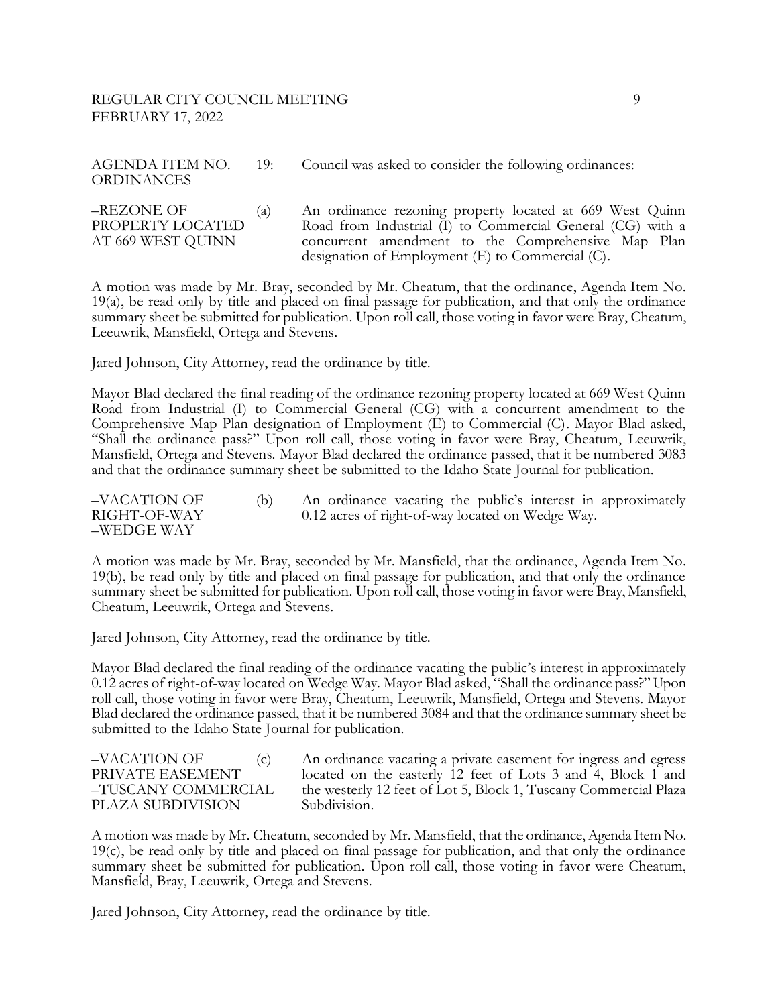# REGULAR CITY COUNCIL MEETING 9 FEBRUARY 17, 2022

| <b>ORDINANCES</b>              |     | AGENDA ITEM NO. 19: Council was asked to consider the following ordinances:                                            |
|--------------------------------|-----|------------------------------------------------------------------------------------------------------------------------|
| –REZONE OF<br>PROPERTY LOCATED | (a) | An ordinance rezoning property located at 669 West Quinn<br>Road from Industrial (I) to Commercial General (CG) with a |

AT 669 WEST QUINN concurrent amendment to the Comprehensive Map Plan

designation of Employment (E) to Commercial (C).

A motion was made by Mr. Bray, seconded by Mr. Cheatum, that the ordinance, Agenda Item No. 19(a), be read only by title and placed on final passage for publication, and that only the ordinance summary sheet be submitted for publication. Upon roll call, those voting in favor were Bray, Cheatum, Leeuwrik, Mansfield, Ortega and Stevens.

Jared Johnson, City Attorney, read the ordinance by title.

Mayor Blad declared the final reading of the ordinance rezoning property located at 669 West Quinn Road from Industrial (I) to Commercial General (CG) with a concurrent amendment to the Comprehensive Map Plan designation of Employment (E) to Commercial (C). Mayor Blad asked, "Shall the ordinance pass?" Upon roll call, those voting in favor were Bray, Cheatum, Leeuwrik, Mansfield, Ortega and Stevens. Mayor Blad declared the ordinance passed, that it be numbered 3083 and that the ordinance summary sheet be submitted to the Idaho State Journal for publication.

–VACATION OF (b) An ordinance vacating the public's interest in approximately RIGHT-OF-WAY 0.12 acres of right-of-way located on Wedge Way. –WEDGE WAY

A motion was made by Mr. Bray, seconded by Mr. Mansfield, that the ordinance, Agenda Item No. 19(b), be read only by title and placed on final passage for publication, and that only the ordinance summary sheet be submitted for publication. Upon roll call, those voting in favor were Bray, Mansfield, Cheatum, Leeuwrik, Ortega and Stevens.

Jared Johnson, City Attorney, read the ordinance by title.

Mayor Blad declared the final reading of the ordinance vacating the public's interest in approximately 0.12 acres of right-of-way located on Wedge Way. Mayor Blad asked, "Shall the ordinance pass?" Upon roll call, those voting in favor were Bray, Cheatum, Leeuwrik, Mansfield, Ortega and Stevens. Mayor Blad declared the ordinance passed, that it be numbered 3084 and that the ordinance summary sheet be submitted to the Idaho State Journal for publication.

–VACATION OF (c) An ordinance vacating a private easement for ingress and egress PRIVATE EASEMENT located on the easterly 12 feet of Lots 3 and 4, Block 1 and –TUSCANY COMMERCIAL the westerly 12 feet of Lot 5, Block 1, Tuscany Commercial Plaza PLAZA SUBDIVISION Subdivision.

A motion was made by Mr. Cheatum, seconded by Mr. Mansfield, that the ordinance, Agenda Item No. 19(c), be read only by title and placed on final passage for publication, and that only the ordinance summary sheet be submitted for publication. Upon roll call, those voting in favor were Cheatum, Mansfield, Bray, Leeuwrik, Ortega and Stevens.

Jared Johnson, City Attorney, read the ordinance by title.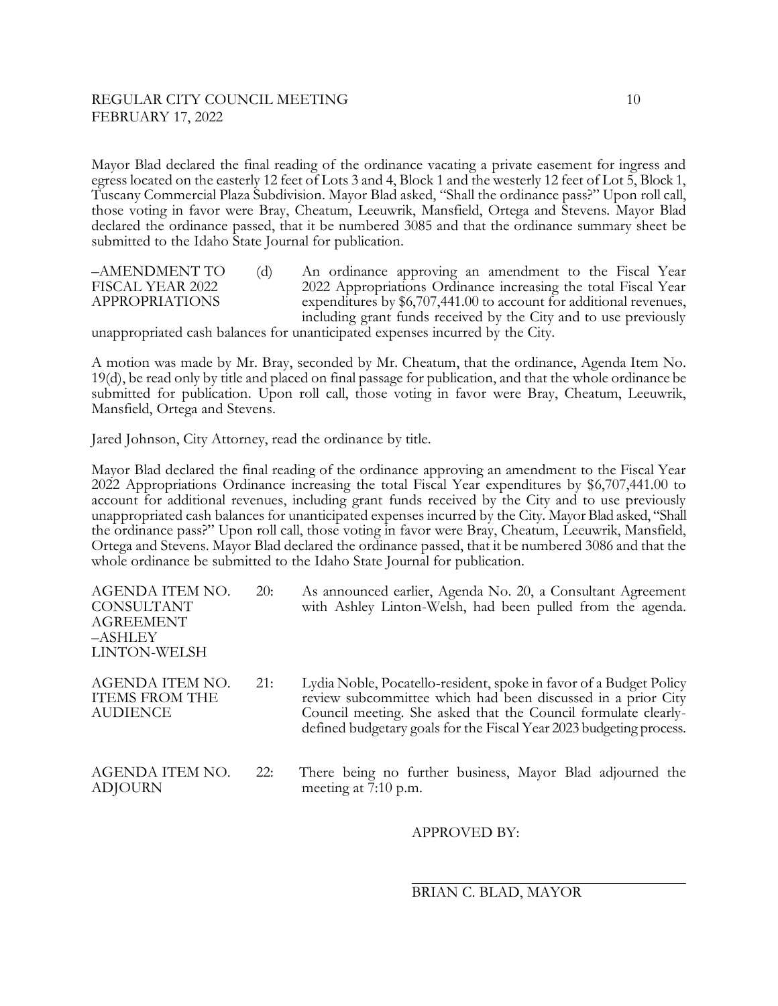# REGULAR CITY COUNCIL MEETING 10 FEBRUARY 17, 2022

Mayor Blad declared the final reading of the ordinance vacating a private easement for ingress and egress located on the easterly 12 feet of Lots 3 and 4, Block 1 and the westerly 12 feet of Lot 5, Block 1, Tuscany Commercial Plaza Subdivision. Mayor Blad asked, "Shall the ordinance pass?" Upon roll call, those voting in favor were Bray, Cheatum, Leeuwrik, Mansfield, Ortega and Stevens. Mayor Blad declared the ordinance passed, that it be numbered 3085 and that the ordinance summary sheet be submitted to the Idaho State Journal for publication.

–AMENDMENT TO (d) An ordinance approving an amendment to the Fiscal Year FISCAL YEAR 2022 2022 Appropriations Ordinance increasing the total Fiscal Year APPROPRIATIONS expenditures by \$6,707,441.00 to account for additional revenues, including grant funds received by the City and to use previously

unappropriated cash balances for unanticipated expenses incurred by the City.

A motion was made by Mr. Bray, seconded by Mr. Cheatum, that the ordinance, Agenda Item No. 19(d), be read only by title and placed on final passage for publication, and that the whole ordinance be submitted for publication. Upon roll call, those voting in favor were Bray, Cheatum, Leeuwrik, Mansfield, Ortega and Stevens.

Jared Johnson, City Attorney, read the ordinance by title.

Mayor Blad declared the final reading of the ordinance approving an amendment to the Fiscal Year 2022 Appropriations Ordinance increasing the total Fiscal Year expenditures by \$6,707,441.00 to account for additional revenues, including grant funds received by the City and to use previously unappropriated cash balances for unanticipated expenses incurred by the City. Mayor Blad asked, "Shall the ordinance pass?" Upon roll call, those voting in favor were Bray, Cheatum, Leeuwrik, Mansfield, Ortega and Stevens. Mayor Blad declared the ordinance passed, that it be numbered 3086 and that the whole ordinance be submitted to the Idaho State Journal for publication.

| AGENDA ITEM NO.<br><b>CONSULTANT</b><br><b>AGREEMENT</b><br>-ASHLEY<br>LINTON-WELSH | 20: | As announced earlier, Agenda No. 20, a Consultant Agreement<br>with Ashley Linton-Welsh, had been pulled from the agenda.                                                                                                                                                   |
|-------------------------------------------------------------------------------------|-----|-----------------------------------------------------------------------------------------------------------------------------------------------------------------------------------------------------------------------------------------------------------------------------|
| AGENDA ITEM NO.<br><b>ITEMS FROM THE</b><br><b>AUDIENCE</b>                         | 21: | Lydia Noble, Pocatello-resident, spoke in favor of a Budget Policy<br>review subcommittee which had been discussed in a prior City<br>Council meeting. She asked that the Council formulate clearly-<br>defined budgetary goals for the Fiscal Year 2023 budgeting process. |
| AGENDA ITEM NO.<br><b>ADJOURN</b>                                                   | 22: | There being no further business, Mayor Blad adjourned the<br>meeting at 7:10 p.m.                                                                                                                                                                                           |

#### APPROVED BY:

 $\overline{a}$ BRIAN C. BLAD, MAYOR